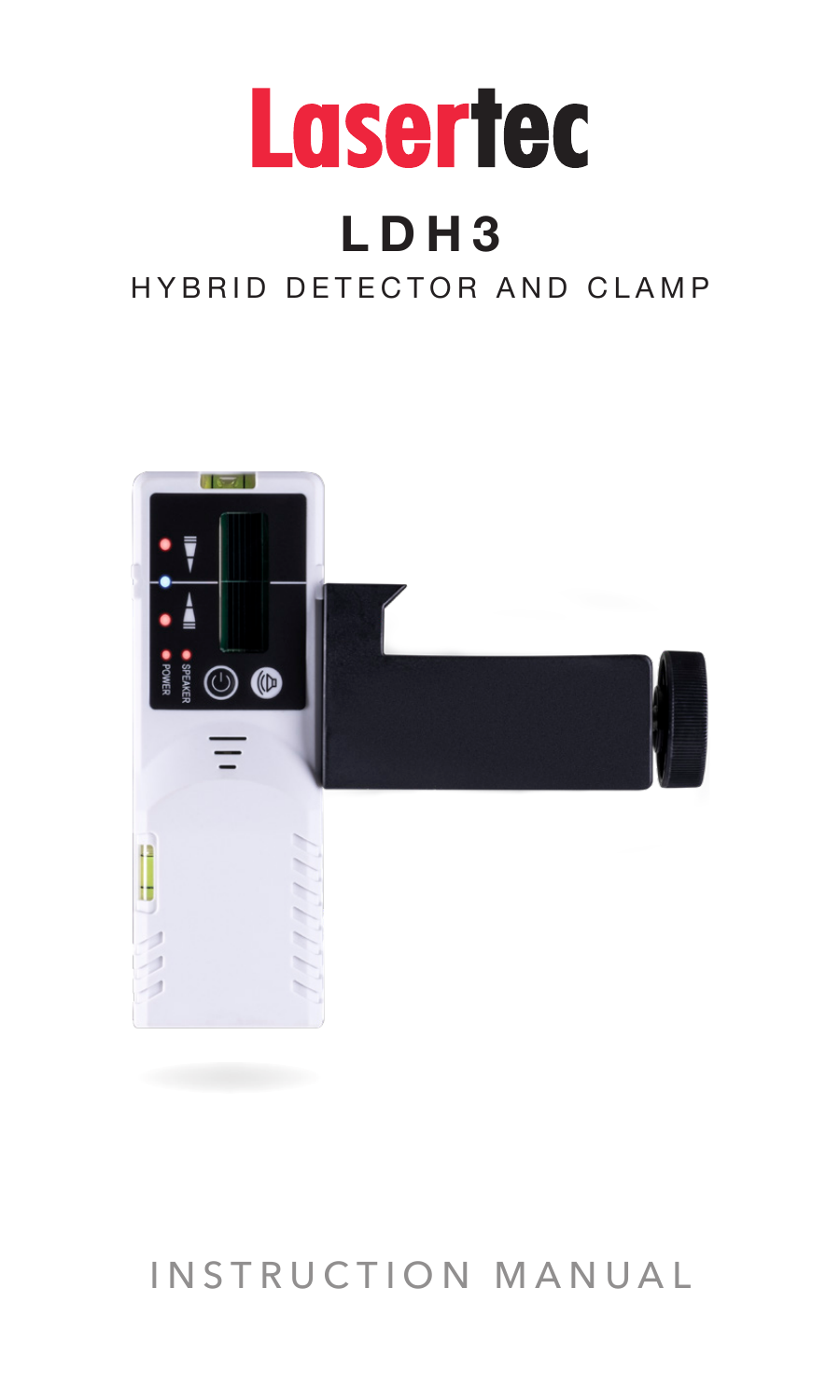

# **LDH3**

## HYBRID DETECTOR AND CLAMP



# INSTRUCTION MANUAL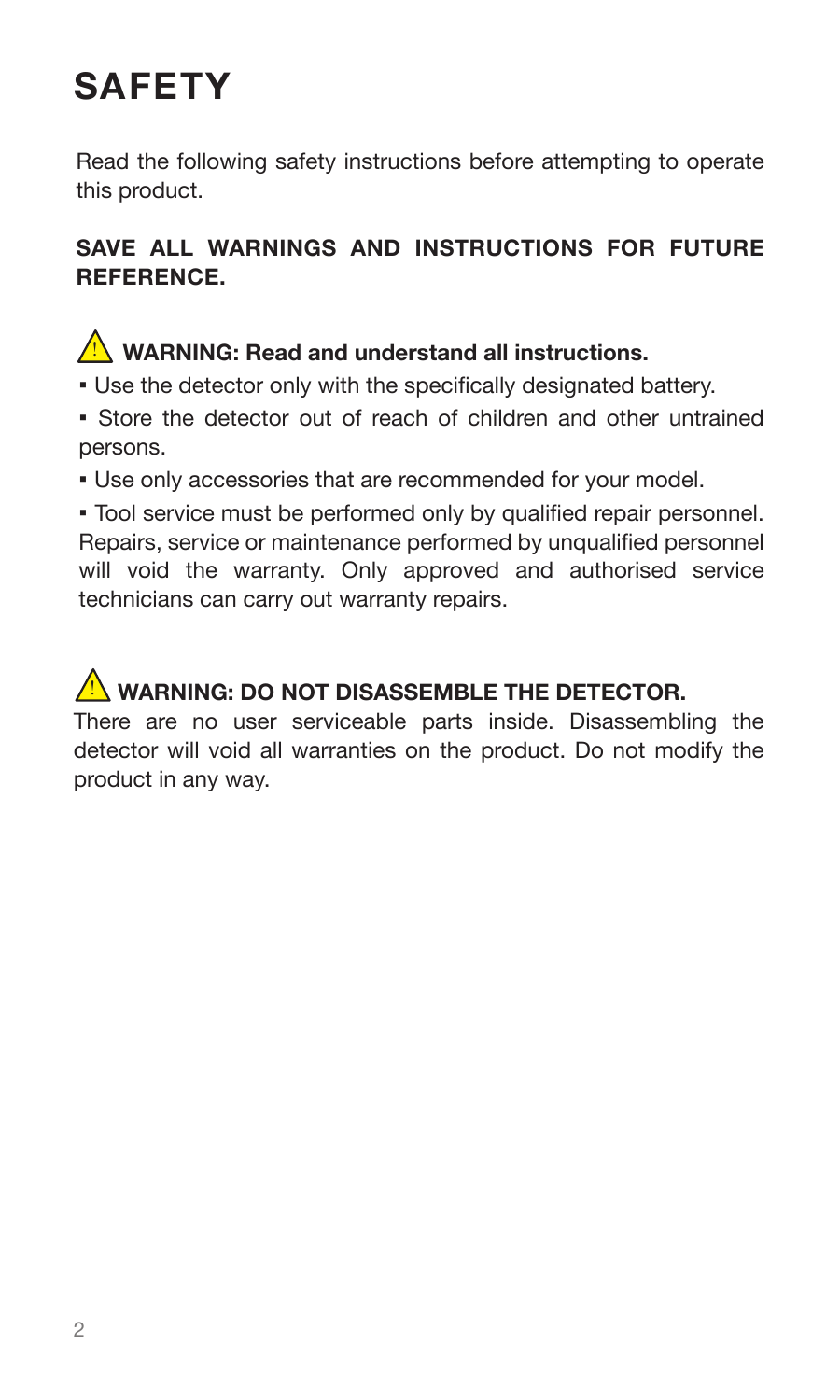# **SAFETY**

Read the following safety instructions before attempting to operate this product.

#### **SAVE ALL WARNINGS AND INSTRUCTIONS FOR FUTURE REFERENCE.**

### **WARNING: Read and understand all instructions.**

- Use the detector only with the specifically designated battery.
- Store the detector out of reach of children and other untrained persons.
- . Use only accessories that are recommended for your model

▪ Tool service must be performed only by qualified repair personnel. Repairs, service or maintenance performed by unqualified personnel will void the warranty. Only approved and authorised service technicians can carry out warranty repairs.

### **WARNING: DO NOT DISASSEMBLE THE DETECTOR.**

There are no user serviceable parts inside. Disassembling the detector will void all warranties on the product. Do not modify the product in any way.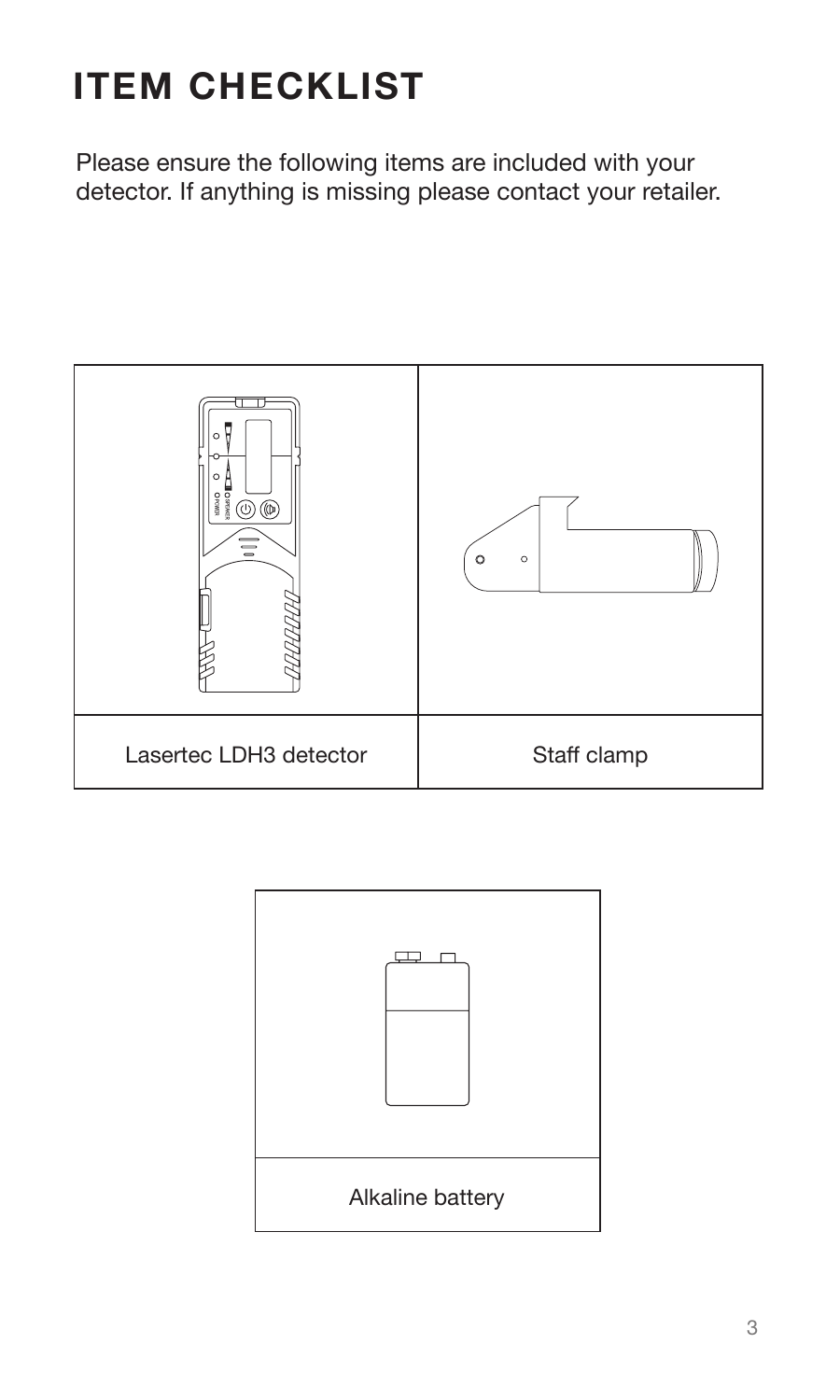# **ITEM CHECKLIST**

Please ensure the following items are included with your detector. If anything is missing please contact your retailer.



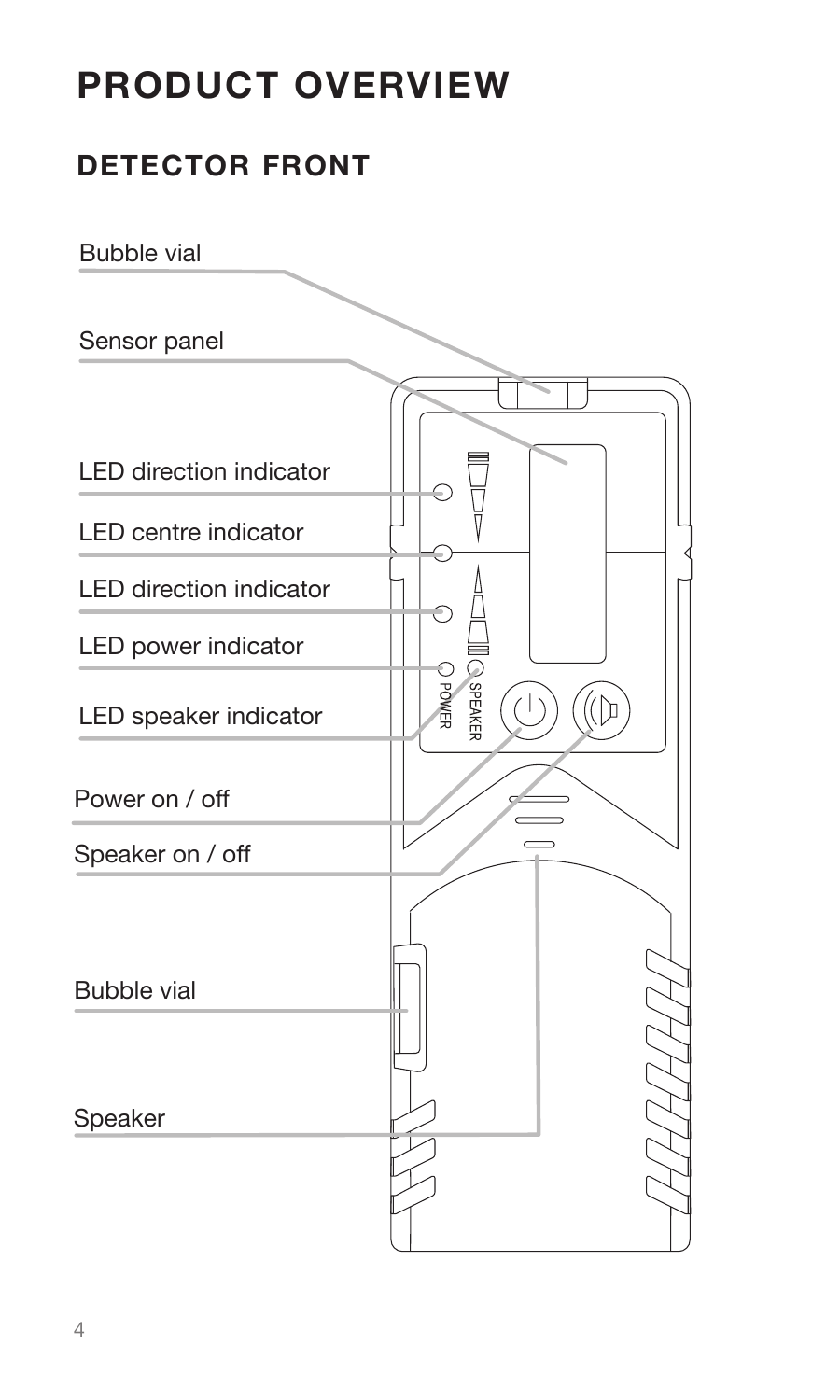# **PRODUCT OVERVIEW**

### **DETECTOR FRONT**

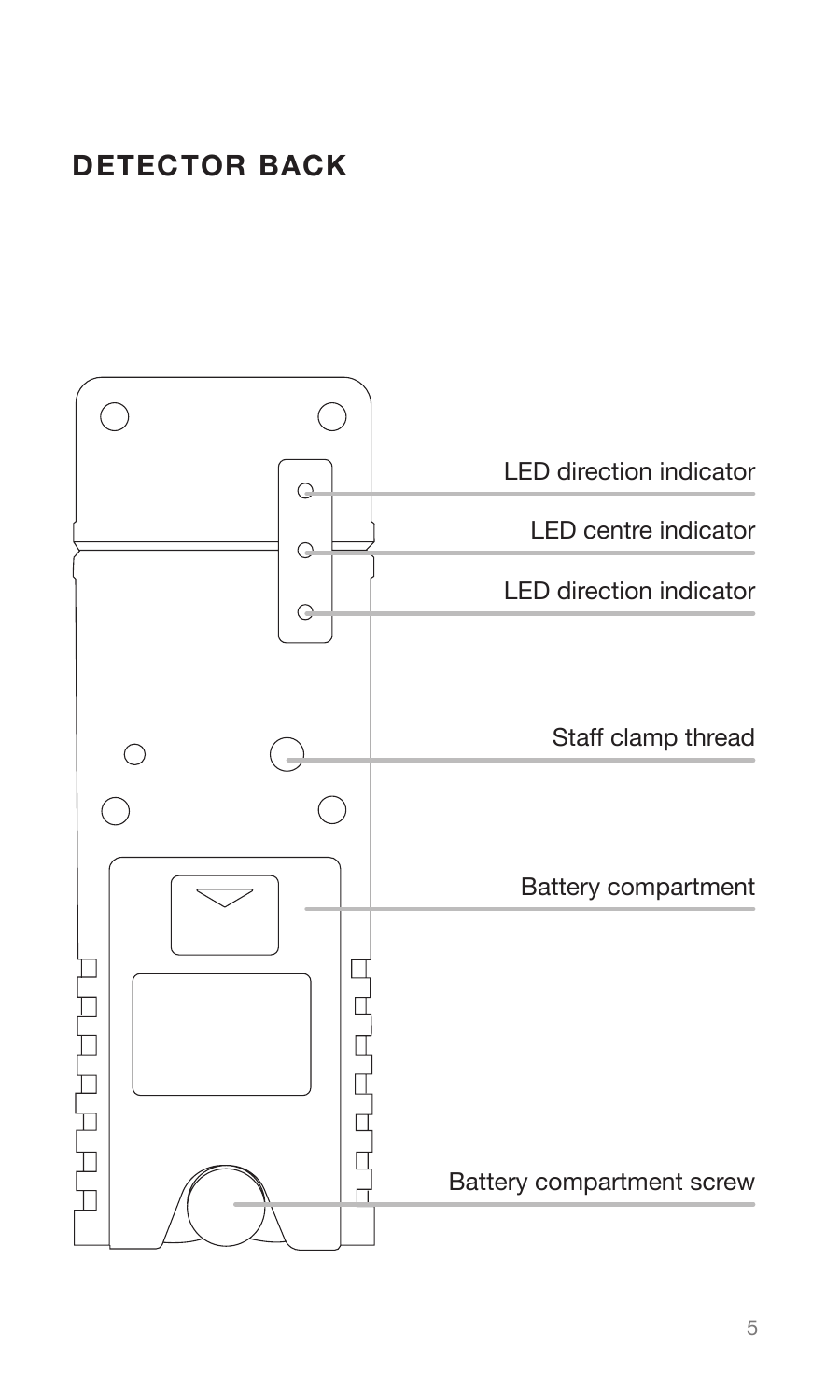### **DETECTOR BACK**

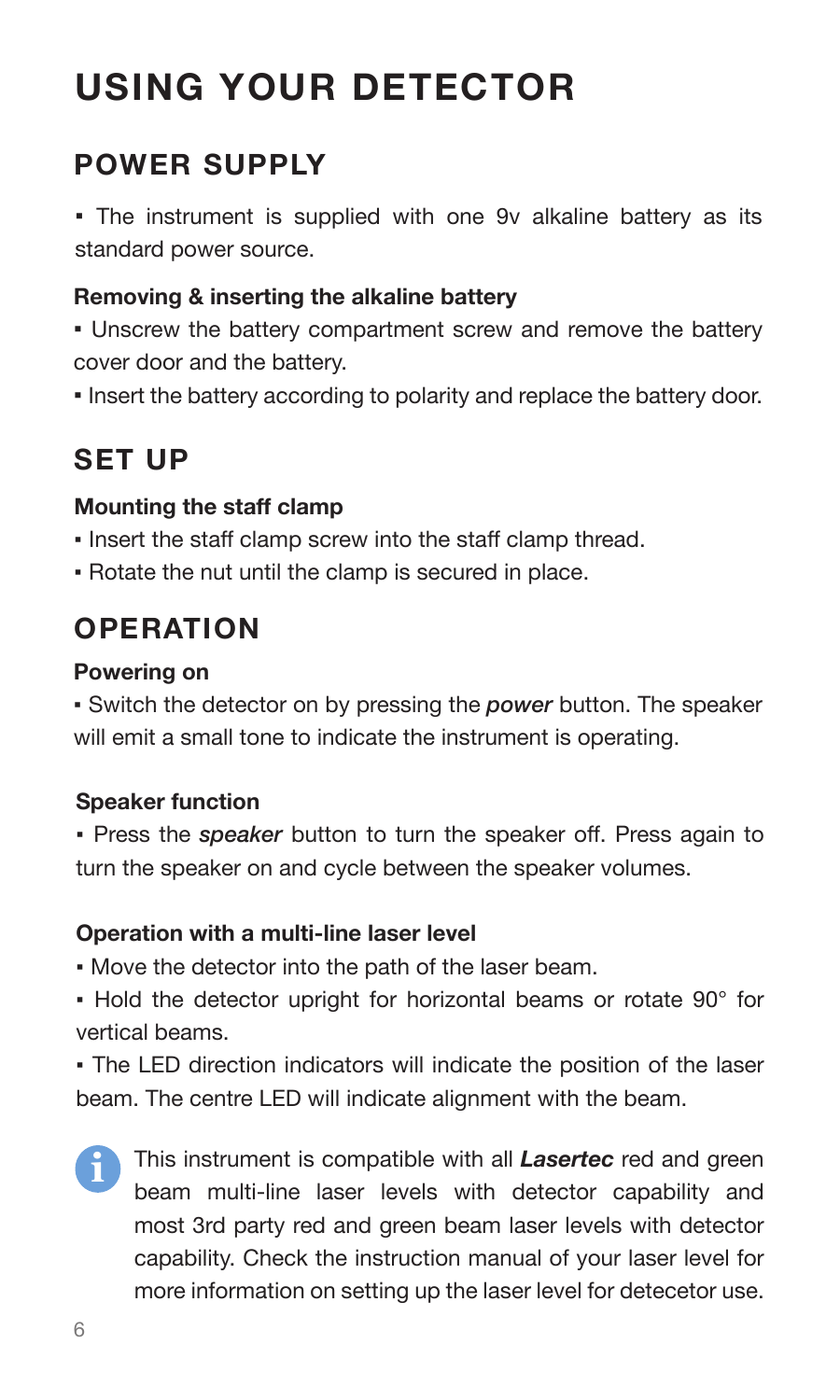# **USING YOUR DETECTOR**

### **POWER SUPPLY**

▪ The instrument is supplied with one 9v alkaline battery as its standard power source.

#### **Removing & inserting the alkaline battery**

▪ Unscrew the battery compartment screw and remove the battery cover door and the battery.

▪ Insert the battery according to polarity and replace the battery door.

### **SET UP**

#### **Mounting the staff clamp**

- Insert the staff clamp screw into the staff clamp thread.
- Rotate the nut until the clamp is secured in place.

### **OPERATION**

#### **Powering on**

▪ Switch the detector on by pressing the *power* button. The speaker will emit a small tone to indicate the instrument is operating.

#### **Speaker function**

▪ Press the *speaker* button to turn the speaker off. Press again to turn the speaker on and cycle between the speaker volumes.

#### **Operation with a multi-line laser level**

▪ Move the detector into the path of the laser beam.

▪ Hold the detector upright for horizontal beams or rotate 90° for vertical beams.

▪ The LED direction indicators will indicate the position of the laser beam. The centre LED will indicate alignment with the beam.

**i**

This instrument is compatible with all *Lasertec* red and green beam multi-line laser levels with detector capability and most 3rd party red and green beam laser levels with detector capability. Check the instruction manual of your laser level for more information on setting up the laser level for detecetor use.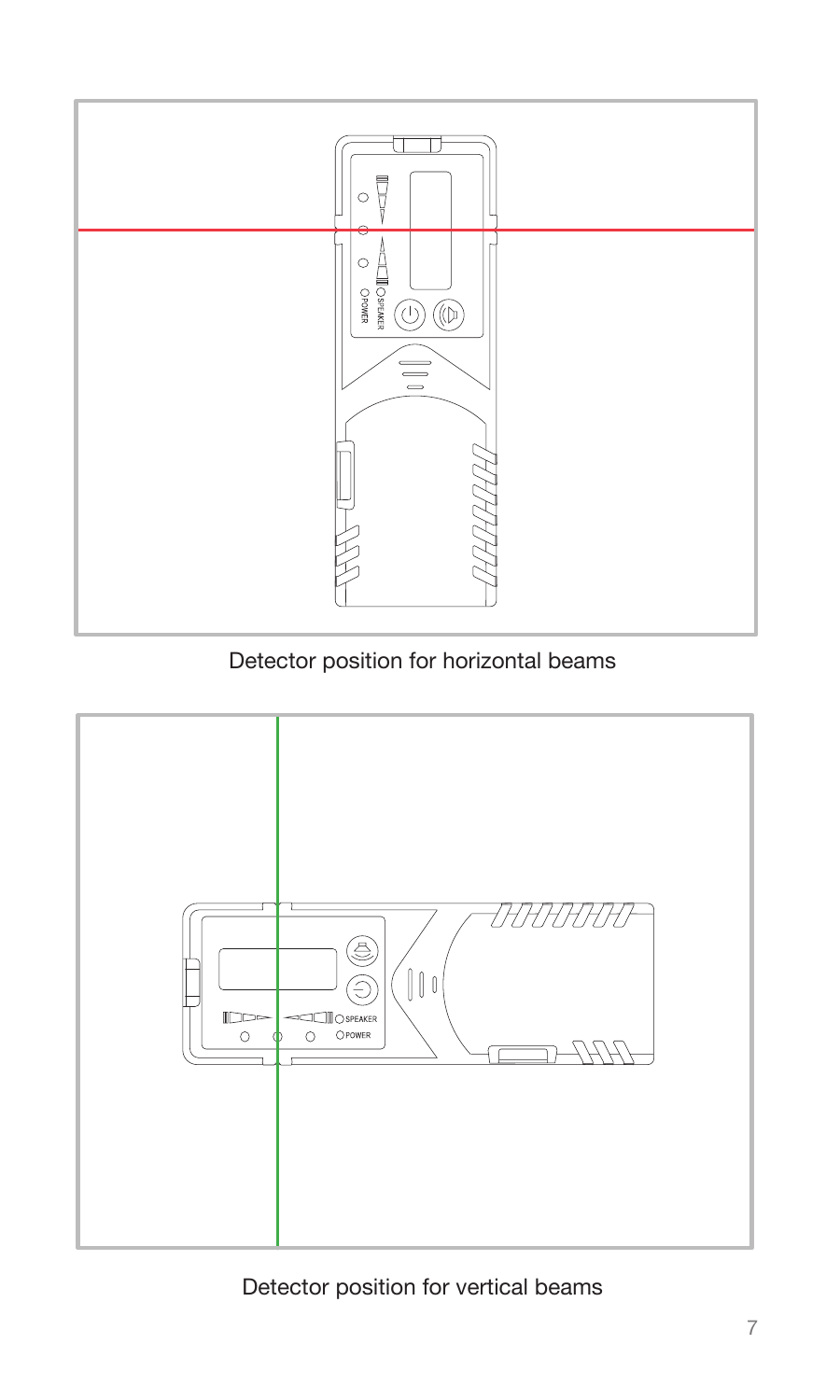

Detector position for horizontal beams



Detector position for vertical beams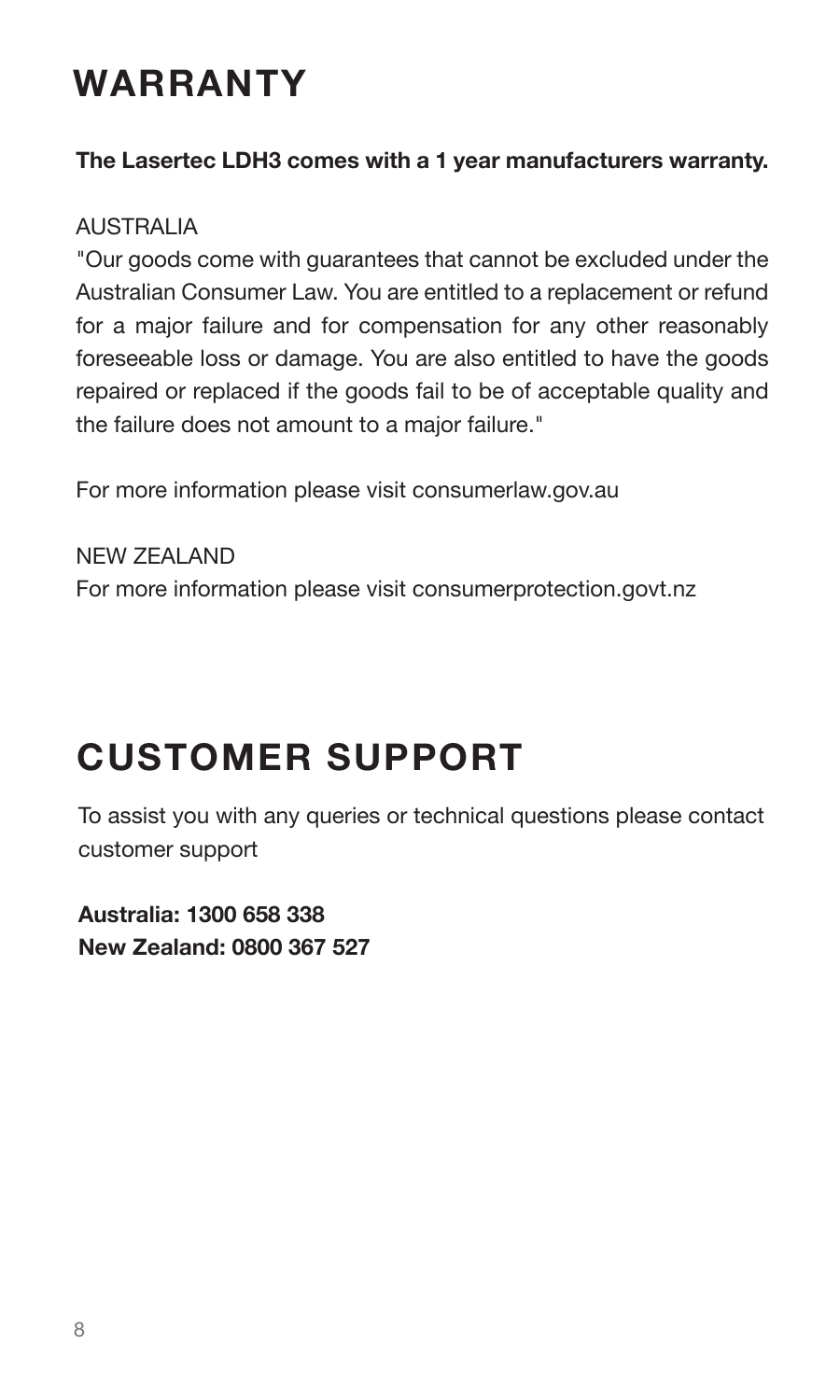# **WARRANTY**

#### **The Lasertec LDH3 comes with a 1 year manufacturers warranty.**

#### AUSTRALIA

"Our goods come with guarantees that cannot be excluded under the Australian Consumer Law. You are entitled to a replacement or refund for a major failure and for compensation for any other reasonably foreseeable loss or damage. You are also entitled to have the goods repaired or replaced if the goods fail to be of acceptable quality and the failure does not amount to a major failure."

For more information please visit consumerlaw.gov.au

NEW ZEALAND For more information please visit consumerprotection.govt.nz

# **CUSTOMER SUPPORT**

To assist you with any queries or technical questions please contact customer support

**Australia: 1300 658 338 New Zealand: 0800 367 527**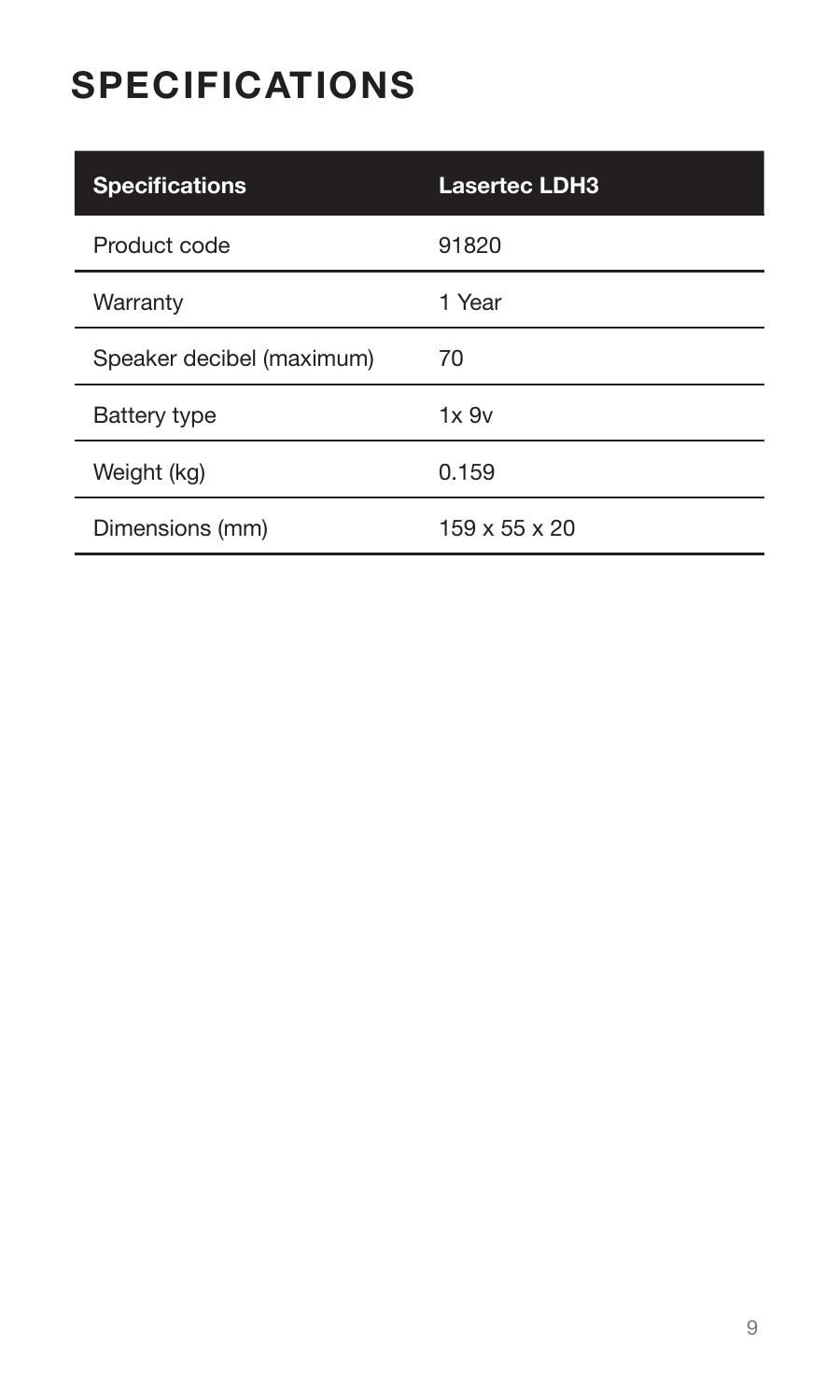# **SPECIFICATIONS**

| <b>Specifications</b>     | <b>Lasertec LDH3</b>      |
|---------------------------|---------------------------|
| Product code              | 91820                     |
| Warranty                  | 1 Year                    |
| Speaker decibel (maximum) | 70                        |
| Battery type              | 1x.9v                     |
| Weight (kg)               | 0.159                     |
| Dimensions (mm)           | $159 \times 55 \times 20$ |